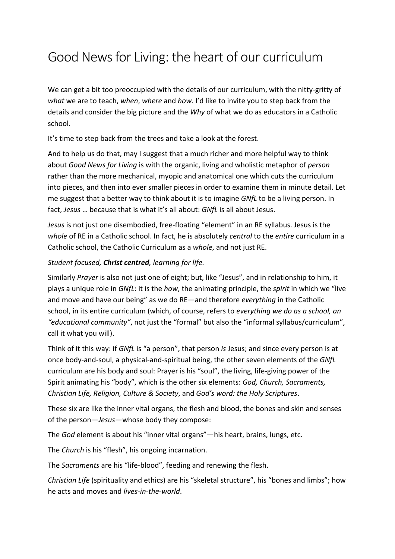## Good News for Living: the heart of our curriculum

We can get a bit too preoccupied with the details of our curriculum, with the nitty-gritty of *what* we are to teach, *when*, *where* and *how*. I'd like to invite you to step back from the details and consider the big picture and the *Why* of what we do as educators in a Catholic school.

It's time to step back from the trees and take a look at the forest.

And to help us do that, may I suggest that a much richer and more helpful way to think about *Good News for Living* is with the organic, living and wholistic metaphor of *person* rather than the more mechanical, myopic and anatomical one which cuts the curriculum into pieces, and then into ever smaller pieces in order to examine them in minute detail. Let me suggest that a better way to think about it is to imagine *GNfL* to be a living person. In fact, *Jesus* … because that is what it's all about: *GNfL* is all about Jesus.

*Jesus* is not just one disembodied, free-floating "element" in an RE syllabus. Jesus is the *whole* of RE in a Catholic school. In fact, he is absolutely *central* to the *entire* curriculum in a Catholic school, the Catholic Curriculum as a *whole*, and not just RE.

## *Student focused, Christ centred, learning for life.*

Similarly *Prayer* is also not just one of eight; but, like "Jesus", and in relationship to him, it plays a unique role in *GNfL*: it is the *how*, the animating principle, the *spirit* in which we "live and move and have our being" as we do RE—and therefore *everything* in the Catholic school, in its entire curriculum (which, of course, refers to *everything we do as a school, an "educational community"*, not just the "formal" but also the "informal syllabus/curriculum", call it what you will).

Think of it this way: if *GNfL* is "a person", that person *is* Jesus; and since every person is at once body-and-soul, a physical-and-spiritual being, the other seven elements of the *GNfL* curriculum are his body and soul: Prayer is his "soul", the living, life-giving power of the Spirit animating his "body", which is the other six elements: *God, Church, Sacraments, Christian Life, Religion, Culture & Society*, and *God's word: the Holy Scriptures*.

These six are like the inner vital organs, the flesh and blood, the bones and skin and senses of the person—*Jesus*—whose body they compose:

The *God* element is about his "inner vital organs"—his heart, brains, lungs, etc.

The *Church* is his "flesh", his ongoing incarnation.

The *Sacraments* are his "life-blood", feeding and renewing the flesh.

*Christian Life* (spirituality and ethics) are his "skeletal structure", his "bones and limbs"; how he acts and moves and *lives-in-the-world*.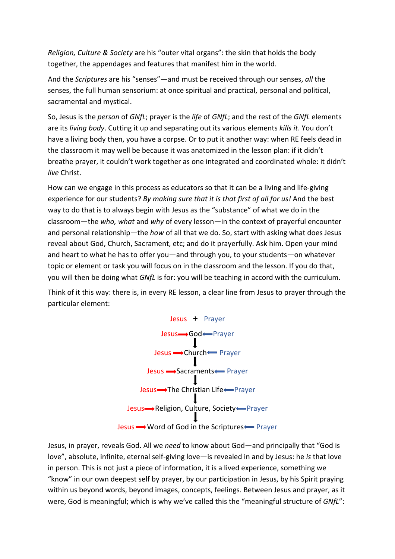*Religion, Culture & Society* are his "outer vital organs": the skin that holds the body together, the appendages and features that manifest him in the world.

And the *Scriptures* are his "senses"—and must be received through our senses, *all* the senses, the full human sensorium: at once spiritual and practical, personal and political, sacramental and mystical.

So, Jesus is the *person* of *GNfL*; prayer is the *life* of *GNfL*; and the rest of the *GNfL* elements are its *living body*. Cutting it up and separating out its various elements *kills it*. You don't have a living body then, you have a corpse. Or to put it another way: when RE feels dead in the classroom it may well be because it was anatomized in the lesson plan: if it didn't breathe prayer, it couldn't work together as one integrated and coordinated whole: it didn't *live* Christ.

How can we engage in this process as educators so that it can be a living and life-giving experience for our students? *By making sure that it is that first of all for us!* And the best way to do that is to always begin with Jesus as the "substance" of what we do in the classroom—the *who, what* and *why* of every lesson—in the context of prayerful encounter and personal relationship—the *how* of all that we do. So, start with asking what does Jesus reveal about God, Church, Sacrament, etc; and do it prayerfully. Ask him. Open your mind and heart to what he has to offer you—and through you, to your students—on whatever topic or element or task you will focus on in the classroom and the lesson. If you do that, you will then be doing what *GNfL* is for: you will be teaching in accord with the curriculum.

Think of it this way: there is, in every RE lesson, a clear line from Jesus to prayer through the particular element:



Jesus, in prayer, reveals God. All we *need* to know about God—and principally that "God is love", absolute, infinite, eternal self-giving love—is revealed in and by Jesus: he *is* that love in person. This is not just a piece of information, it is a lived experience, something we "know" in our own deepest self by prayer, by our participation in Jesus, by his Spirit praying within us beyond words, beyond images, concepts, feelings. Between Jesus and prayer, as it were, God is meaningful; which is why we've called this the "meaningful structure of *GNfL*":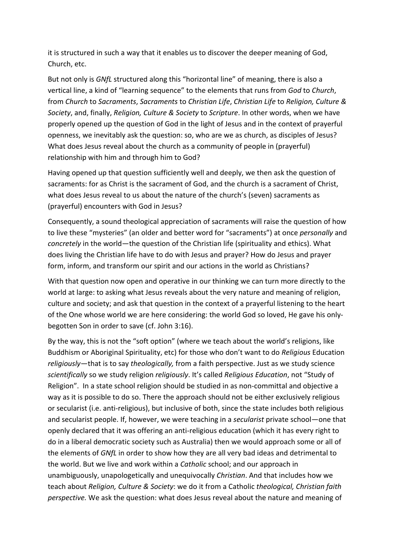it is structured in such a way that it enables us to discover the deeper meaning of God, Church, etc.

But not only is *GNfL* structured along this "horizontal line" of meaning, there is also a vertical line, a kind of "learning sequence" to the elements that runs from *God* to *Church*, from *Church* to *Sacraments*, *Sacraments* to *Christian Life*, *Christian Life* to *Religion, Culture & Society*, and, finally, *Religion, Culture & Society* to *Scripture*. In other words, when we have properly opened up the question of God in the light of Jesus and in the context of prayerful openness, we inevitably ask the question: so, who are we as church, as disciples of Jesus? What does Jesus reveal about the church as a community of people in (prayerful) relationship with him and through him to God?

Having opened up that question sufficiently well and deeply, we then ask the question of sacraments: for as Christ is the sacrament of God, and the church is a sacrament of Christ, what does Jesus reveal to us about the nature of the church's (seven) sacraments as (prayerful) encounters with God in Jesus?

Consequently, a sound theological appreciation of sacraments will raise the question of how to live these "mysteries" (an older and better word for "sacraments") at once *personally* and *concretely* in the world—the question of the Christian life (spirituality and ethics). What does living the Christian life have to do with Jesus and prayer? How do Jesus and prayer form, inform, and transform our spirit and our actions in the world as Christians?

With that question now open and operative in our thinking we can turn more directly to the world at large: to asking what Jesus reveals about the very nature and meaning of religion, culture and society; and ask that question in the context of a prayerful listening to the heart of the One whose world we are here considering: the world God so loved, He gave his onlybegotten Son in order to save (cf. John 3:16).

By the way, this is not the "soft option" (where we teach about the world's religions, like Buddhism or Aboriginal Spirituality, etc) for those who don't want to do *Religious* Education *religiously*—that is to say *theologically,* from a faith perspective. Just as we study science *scientifically* so we study religion *religiously*. It's called *Religious Education*, not "Study of Religion". In a state school religion should be studied in as non-committal and objective a way as it is possible to do so. There the approach should not be either exclusively religious or secularist (i.e. anti-religious), but inclusive of both, since the state includes both religious and secularist people. If, however, we were teaching in a *secularist* private school—one that openly declared that it was offering an anti-religious education (which it has every right to do in a liberal democratic society such as Australia) then we would approach some or all of the elements of *GNfL* in order to show how they are all very bad ideas and detrimental to the world. But we live and work within a *Catholic* school; and our approach in unambiguously, unapologetically and unequivocally *Christian*. And that includes how we teach about *Religion, Culture & Society*: we do it from a Catholic *theological, Christian faith perspective.* We ask the question: what does Jesus reveal about the nature and meaning of